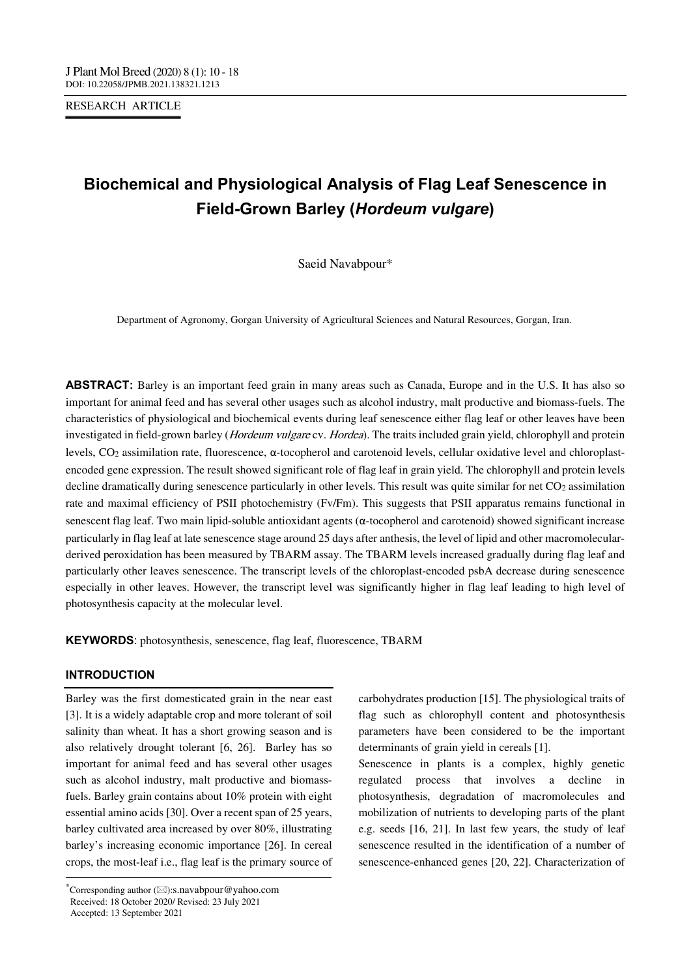RESEARCH ARTICLE

# **Biochemical and Physiological Analysis of Flag Leaf Senescence in Field-Grown Barley (***Hordeum vulgare***)**

Saeid Navabpour\*

Department of Agronomy, Gorgan University of Agricultural Sciences and Natural Resources, Gorgan, Iran.

**ABSTRACT:** Barley is an important feed grain in many areas such as Canada, Europe and in the U.S. It has also so important for animal feed and has several other usages such as alcohol industry, malt productive and biomass-fuels. The characteristics of physiological and biochemical events during leaf senescence either flag leaf or other leaves have been investigated in field-grown barley (*Hordeum vulgare* cv. *Hordea*). The traits included grain yield, chlorophyll and protein levels, CO2 assimilation rate, fluorescence, α-tocopherol and carotenoid levels, cellular oxidative level and chloroplastencoded gene expression. The result showed significant role of flag leaf in grain yield. The chlorophyll and protein levels decline dramatically during senescence particularly in other levels. This result was quite similar for net CO2 assimilation rate and maximal efficiency of PSII photochemistry (Fv/Fm). This suggests that PSII apparatus remains functional in senescent flag leaf. Two main lipid-soluble antioxidant agents (α-tocopherol and carotenoid) showed significant increase particularly in flag leaf at late senescence stage around 25 days after anthesis, the level of lipid and other macromolecularderived peroxidation has been measured by TBARM assay. The TBARM levels increased gradually during flag leaf and particularly other leaves senescence. The transcript levels of the chloroplast-encoded psbA decrease during senescence especially in other leaves. However, the transcript level was significantly higher in flag leaf leading to high level of photosynthesis capacity at the molecular level.

**KEYWORDS**: photosynthesis, senescence, flag leaf, fluorescence, TBARM

## **INTRODUCTION**

--------------------------------------------------------------------------------- Barley was the first domesticated grain in the near east [3]. It is a widely adaptable crop and more tolerant of soil salinity than wheat. It has a short growing season and is also relatively drought tolerant [6, 26]. Barley has so important for animal feed and has several other usages such as alcohol industry, malt productive and biomassfuels. Barley grain contains about 10% protein with eight essential amino acids [30]. Over a recent span of 25 years, barley cultivated area increased by over 80%, illustrating barley's increasing economic importance [26]. In cereal crops, the most-leaf i.e., flag leaf is the primary source of carbohydrates production [15]. The physiological traits of flag such as chlorophyll content and photosynthesis parameters have been considered to be the important determinants of grain yield in cereals [1].

Senescence in plants is a complex, highly genetic regulated process that involves a decline in photosynthesis, degradation of macromolecules and mobilization of nutrients to developing parts of the plant e.g. seeds [16, 21]. In last few years, the study of leaf senescence resulted in the identification of a number of senescence-enhanced genes [20, 22]. Characterization of

<sup>\*</sup>Corresponding author  $(\boxtimes)$ :s.navabpour@yahoo.com Received: 18 October 2020/ Revised: 23 July 2021 Accepted: 13 September 2021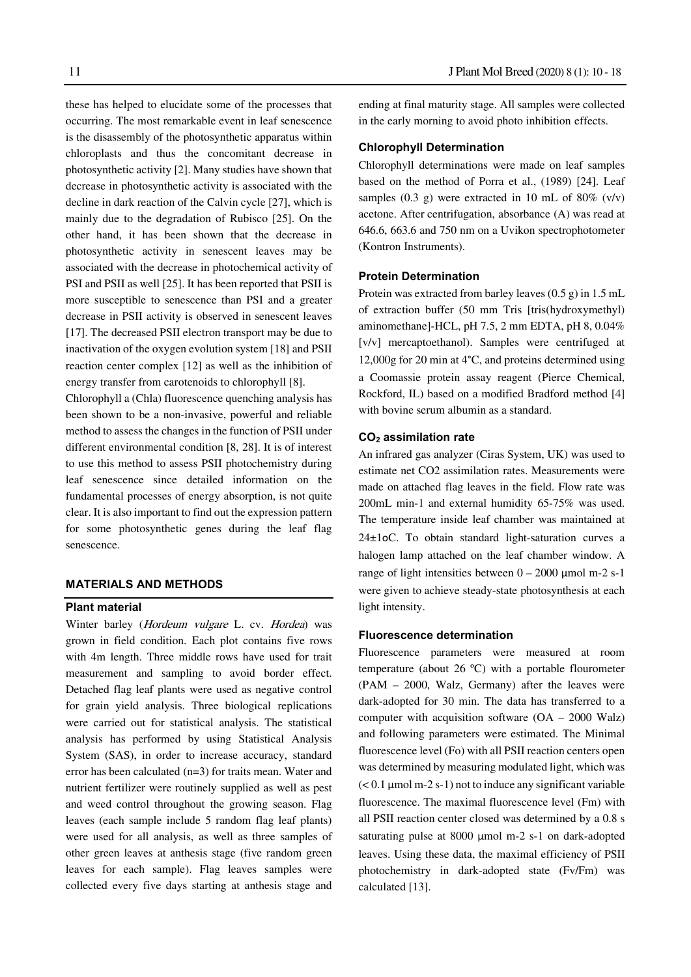these has helped to elucidate some of the processes that occurring. The most remarkable event in leaf senescence is the disassembly of the photosynthetic apparatus within chloroplasts and thus the concomitant decrease in photosynthetic activity [2]. Many studies have shown that decrease in photosynthetic activity is associated with the decline in dark reaction of the Calvin cycle [27], which is mainly due to the degradation of Rubisco [25]. On the other hand, it has been shown that the decrease in photosynthetic activity in senescent leaves may be associated with the decrease in photochemical activity of PSI and PSII as well [25]. It has been reported that PSII is more susceptible to senescence than PSI and a greater decrease in PSII activity is observed in senescent leaves [17]. The decreased PSII electron transport may be due to inactivation of the oxygen evolution system [18] and PSII reaction center complex [12] as well as the inhibition of energy transfer from carotenoids to chlorophyll [8].

Chlorophyll a (Chla) fluorescence quenching analysis has been shown to be a non-invasive, powerful and reliable method to assess the changes in the function of PSII under different environmental condition [8, 28]. It is of interest to use this method to assess PSII photochemistry during leaf senescence since detailed information on the fundamental processes of energy absorption, is not quite clear. It is also important to find out the expression pattern for some photosynthetic genes during the leaf flag senescence.

## **MATERIALS AND METHODS**

## **Plant material**

Winter barley (*Hordeum vulgare L. cv. Hordea*) was grown in field condition. Each plot contains five rows with 4m length. Three middle rows have used for trait measurement and sampling to avoid border effect. Detached flag leaf plants were used as negative control for grain yield analysis. Three biological replications were carried out for statistical analysis. The statistical analysis has performed by using Statistical Analysis System (SAS), in order to increase accuracy, standard error has been calculated (n=3) for traits mean. Water and nutrient fertilizer were routinely supplied as well as pest and weed control throughout the growing season. Flag leaves (each sample include 5 random flag leaf plants) were used for all analysis, as well as three samples of other green leaves at anthesis stage (five random green leaves for each sample). Flag leaves samples were collected every five days starting at anthesis stage and ending at final maturity stage. All samples were collected in the early morning to avoid photo inhibition effects.

## **Chlorophyll Determination**

Chlorophyll determinations were made on leaf samples based on the method of Porra et al., (1989) [24]. Leaf samples  $(0.3 \text{ g})$  were extracted in 10 mL of 80%  $(v/v)$ acetone. After centrifugation, absorbance (A) was read at 646.6, 663.6 and 750 nm on a Uvikon spectrophotometer (Kontron Instruments).

#### **Protein Determination**

Protein was extracted from barley leaves (0.5 g) in 1.5 mL of extraction buffer (50 mm Tris [tris(hydroxymethyl) aminomethane]-HCL, pH 7.5, 2 mm EDTA, pH 8, 0.04% [v/v] mercaptoethanol). Samples were centrifuged at 12,000g for 20 min at 4°C, and proteins determined using a Coomassie protein assay reagent (Pierce Chemical, Rockford, IL) based on a modified Bradford method [4] with bovine serum albumin as a standard.

## **CO2 assimilation rate**

An infrared gas analyzer (Ciras System, UK) was used to estimate net CO2 assimilation rates. Measurements were made on attached flag leaves in the field. Flow rate was 200mL min-1 and external humidity 65-75% was used. The temperature inside leaf chamber was maintained at 24±1oC. To obtain standard light-saturation curves a halogen lamp attached on the leaf chamber window. A range of light intensities between  $0 - 2000$  µmol m-2 s-1 were given to achieve steady-state photosynthesis at each light intensity.

## **Fluorescence determination**

Fluorescence parameters were measured at room temperature (about 26 ºC) with a portable flourometer (PAM – 2000, Walz, Germany) after the leaves were dark-adopted for 30 min. The data has transferred to a computer with acquisition software (OA – 2000 Walz) and following parameters were estimated. The Minimal fluorescence level (Fo) with all PSII reaction centers open was determined by measuring modulated light, which was  $(< 0.1 \,\mathrm{\mu mol \, m-2 \, s-1})$  not to induce any significant variable fluorescence. The maximal fluorescence level (Fm) with all PSII reaction center closed was determined by a 0.8 s saturating pulse at 8000 µmol m-2 s-1 on dark-adopted leaves. Using these data, the maximal efficiency of PSII photochemistry in dark-adopted state (Fv/Fm) was calculated [13].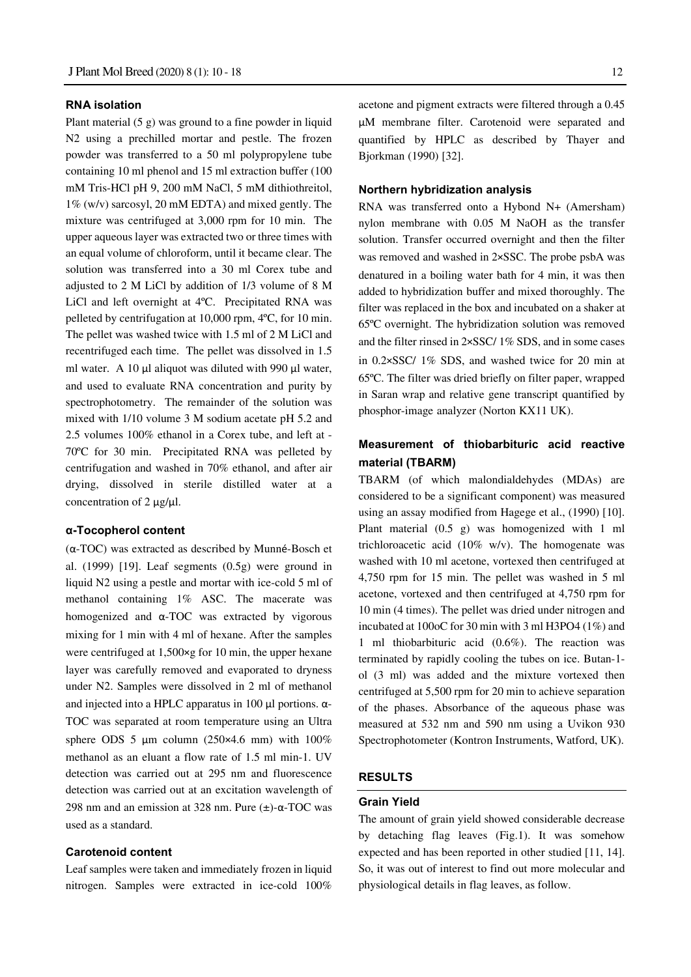#### **RNA isolation**

Plant material  $(5 g)$  was ground to a fine powder in liquid N2 using a prechilled mortar and pestle. The frozen powder was transferred to a 50 ml polypropylene tube containing 10 ml phenol and 15 ml extraction buffer (100 mM Tris-HCl pH 9, 200 mM NaCl, 5 mM dithiothreitol, 1% (w/v) sarcosyl, 20 mM EDTA) and mixed gently. The mixture was centrifuged at 3,000 rpm for 10 min. The upper aqueous layer was extracted two or three times with an equal volume of chloroform, until it became clear. The solution was transferred into a 30 ml Corex tube and adjusted to 2 M LiCl by addition of 1/3 volume of 8 M LiCl and left overnight at 4ºC. Precipitated RNA was pelleted by centrifugation at 10,000 rpm, 4ºC, for 10 min. The pellet was washed twice with 1.5 ml of 2 M LiCl and recentrifuged each time. The pellet was dissolved in 1.5 ml water. A 10  $\mu$ l aliquot was diluted with 990  $\mu$ l water, and used to evaluate RNA concentration and purity by spectrophotometry. The remainder of the solution was mixed with 1/10 volume 3 M sodium acetate pH 5.2 and 2.5 volumes 100% ethanol in a Corex tube, and left at - 70ºC for 30 min. Precipitated RNA was pelleted by centrifugation and washed in 70% ethanol, and after air drying, dissolved in sterile distilled water at a concentration of 2  $\mu$ g/ $\mu$ l.

#### **α-Tocopherol content**

(α-TOC) was extracted as described by Munné-Bosch et al. (1999) [19]. Leaf segments  $(0.5g)$  were ground in liquid N2 using a pestle and mortar with ice-cold 5 ml of methanol containing 1% ASC. The macerate was homogenized and α-TOC was extracted by vigorous mixing for 1 min with 4 ml of hexane. After the samples were centrifuged at 1,500×g for 10 min, the upper hexane layer was carefully removed and evaporated to dryness under N2. Samples were dissolved in 2 ml of methanol and injected into a HPLC apparatus in 100  $\mu$ l portions.  $\alpha$ -TOC was separated at room temperature using an Ultra sphere ODS 5  $\mu$ m column (250×4.6 mm) with 100% methanol as an eluant a flow rate of 1.5 ml min-1. UV detection was carried out at 295 nm and fluorescence detection was carried out at an excitation wavelength of 298 nm and an emission at 328 nm. Pure (±)-α-TOC was used as a standard.

## **Carotenoid content**

Leaf samples were taken and immediately frozen in liquid nitrogen. Samples were extracted in ice-cold 100%

acetone and pigment extracts were filtered through a 0.45 µM membrane filter. Carotenoid were separated and quantified by HPLC as described by Thayer and Bjorkman (1990) [32].

## **Northern hybridization analysis**

RNA was transferred onto a Hybond N+ (Amersham) nylon membrane with 0.05 M NaOH as the transfer solution. Transfer occurred overnight and then the filter was removed and washed in 2×SSC. The probe psbA was denatured in a boiling water bath for 4 min, it was then added to hybridization buffer and mixed thoroughly. The filter was replaced in the box and incubated on a shaker at 65ºC overnight. The hybridization solution was removed and the filter rinsed in 2×SSC/ 1% SDS, and in some cases in 0.2×SSC/ 1% SDS, and washed twice for 20 min at 65ºC. The filter was dried briefly on filter paper, wrapped in Saran wrap and relative gene transcript quantified by phosphor-image analyzer (Norton KX11 UK).

## **Measurement of thiobarbituric acid reactive material (TBARM)**

TBARM (of which malondialdehydes (MDAs) are considered to be a significant component) was measured using an assay modified from Hagege et al., (1990) [10]. Plant material (0.5 g) was homogenized with 1 ml trichloroacetic acid (10% w/v). The homogenate was washed with 10 ml acetone, vortexed then centrifuged at 4,750 rpm for 15 min. The pellet was washed in 5 ml acetone, vortexed and then centrifuged at 4,750 rpm for 10 min (4 times). The pellet was dried under nitrogen and incubated at 100oC for 30 min with 3 ml H3PO4 (1%) and 1 ml thiobarbituric acid (0.6%). The reaction was terminated by rapidly cooling the tubes on ice. Butan-1 ol (3 ml) was added and the mixture vortexed then centrifuged at 5,500 rpm for 20 min to achieve separation of the phases. Absorbance of the aqueous phase was measured at 532 nm and 590 nm using a Uvikon 930 Spectrophotometer (Kontron Instruments, Watford, UK).

## **RESULTS**

## **Grain Yield**

The amount of grain yield showed considerable decrease by detaching flag leaves (Fig.1). It was somehow expected and has been reported in other studied [11, 14]. So, it was out of interest to find out more molecular and physiological details in flag leaves, as follow.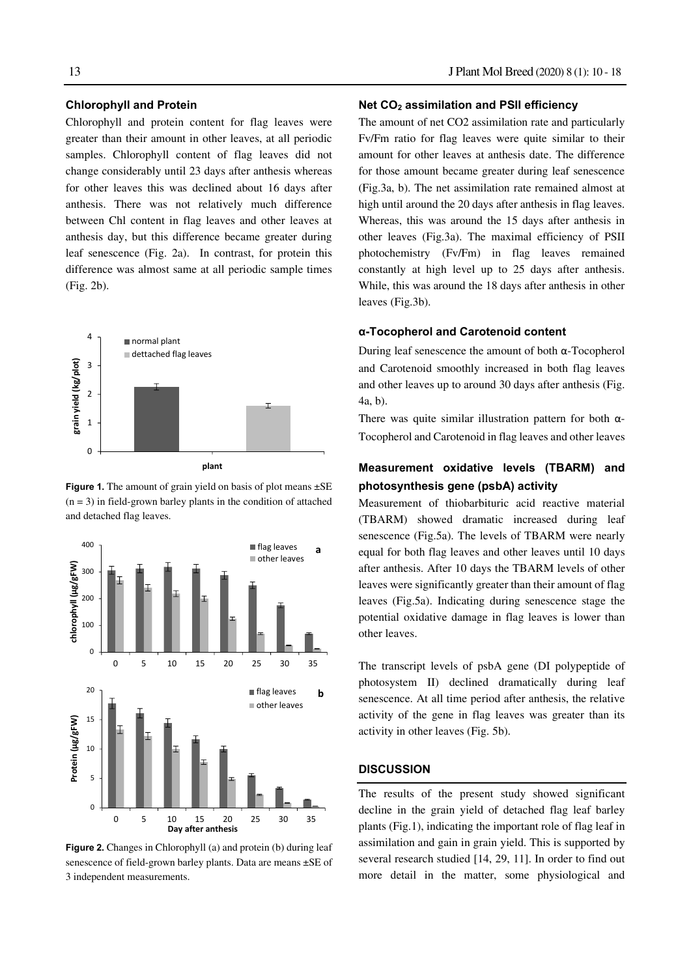#### **Chlorophyll and Protein**

Chlorophyll and protein content for flag leaves were greater than their amount in other leaves, at all periodic samples. Chlorophyll content of flag leaves did not change considerably until 23 days after anthesis whereas for other leaves this was declined about 16 days after anthesis. There was not relatively much difference between Chl content in flag leaves and other leaves at anthesis day, but this difference became greater during leaf senescence (Fig. 2a). In contrast, for protein this difference was almost same at all periodic sample times (Fig. 2b).



**Figure 1.** The amount of grain yield on basis of plot means  $\pm$ SE  $(n = 3)$  in field-grown barley plants in the condition of attached and detached flag leaves.



**Figure 2.** Changes in Chlorophyll (a) and protein (b) during leaf senescence of field-grown barley plants. Data are means ±SE of 3 independent measurements.

## 13 J Plant Mol Breed (2020) 8 (1): 10 - 18

#### **Net CO2 assimilation and PSII efficiency**

The amount of net CO2 assimilation rate and particularly Fv/Fm ratio for flag leaves were quite similar to their amount for other leaves at anthesis date. The difference for those amount became greater during leaf senescence (Fig.3a, b). The net assimilation rate remained almost at high until around the 20 days after anthesis in flag leaves. Whereas, this was around the 15 days after anthesis in other leaves (Fig.3a). The maximal efficiency of PSII photochemistry (Fv/Fm) in flag leaves remained constantly at high level up to 25 days after anthesis. While, this was around the 18 days after anthesis in other leaves (Fig.3b).

#### **α-Tocopherol and Carotenoid content**

During leaf senescence the amount of both α-Tocopherol and Carotenoid smoothly increased in both flag leaves and other leaves up to around 30 days after anthesis (Fig. 4a, b).

There was quite similar illustration pattern for both  $\alpha$ -Tocopherol and Carotenoid in flag leaves and other leaves

## **Measurement oxidative levels (TBARM) and photosynthesis gene (psbA) activity**

Measurement of thiobarbituric acid reactive material (TBARM) showed dramatic increased during leaf senescence (Fig.5a). The levels of TBARM were nearly equal for both flag leaves and other leaves until 10 days after anthesis. After 10 days the TBARM levels of other leaves were significantly greater than their amount of flag leaves (Fig.5a). Indicating during senescence stage the potential oxidative damage in flag leaves is lower than other leaves.

The transcript levels of psbA gene (DI polypeptide of photosystem II) declined dramatically during leaf senescence. At all time period after anthesis, the relative activity of the gene in flag leaves was greater than its activity in other leaves (Fig. 5b).

## **DISCUSSION**

The results of the present study showed significant decline in the grain yield of detached flag leaf barley plants (Fig.1), indicating the important role of flag leaf in assimilation and gain in grain yield. This is supported by several research studied [14, 29, 11]. In order to find out more detail in the matter, some physiological and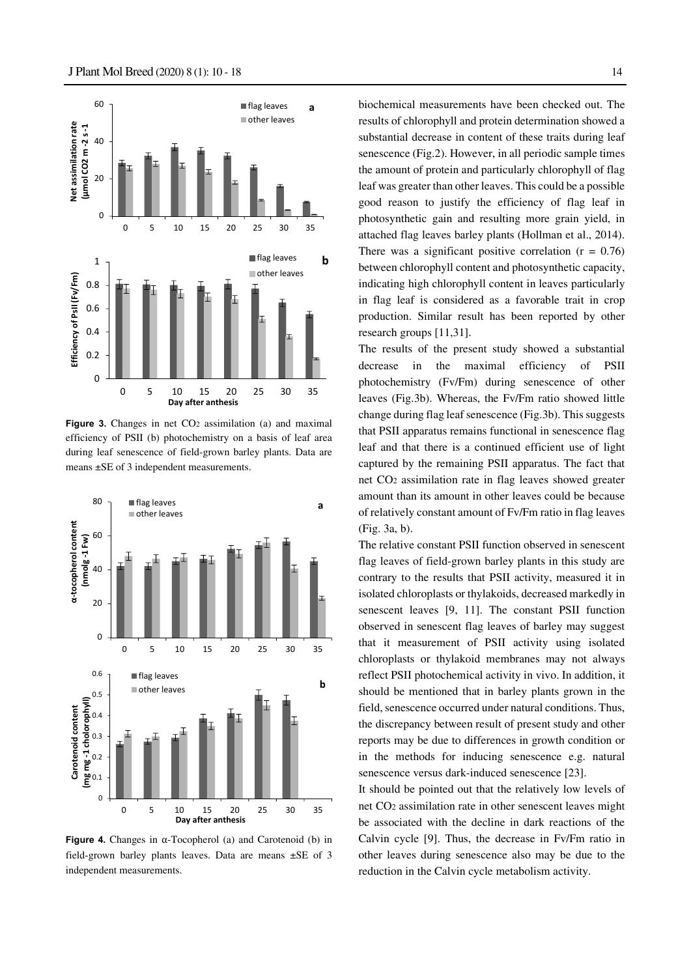

**Figure 3.** Changes in net CO<sub>2</sub> assimilation (a) and maximal efficiency of PSII (b) photochemistry on a basis of leaf area during leaf senescence of field-grown barley plants. Data are means ±SE of 3 independent measurements.



**Figure 4.** Changes in α-Tocopherol (a) and Carotenoid (b) in field-grown barley plants leaves. Data are means ±SE of 3 independent measurements.

biochemical measurements have been checked out. The results of chlorophyll and protein determination showed a substantial decrease in content of these traits during leaf senescence (Fig.2). However, in all periodic sample times the amount of protein and particularly chlorophyll of flag leaf was greater than other leaves. This could be a possible good reason to justify the efficiency of flag leaf in photosynthetic gain and resulting more grain yield, in attached flag leaves barley plants (Hollman et al., 2014). There was a significant positive correlation  $(r = 0.76)$ between chlorophyll content and photosynthetic capacity, indicating high chlorophyll content in leaves particularly in flag leaf is considered as a favorable trait in crop production. Similar result has been reported by other research groups [11,31].

The results of the present study showed a substantial decrease in the maximal efficiency of PSII photochemistry (Fv/Fm) during senescence of other leaves (Fig.3b). Whereas, the Fv/Fm ratio showed little change during flag leaf senescence (Fig.3b). This suggests that PSII apparatus remains functional in senescence flag leaf and that there is a continued efficient use of light captured by the remaining PSII apparatus. The fact that net CO2 assimilation rate in flag leaves showed greater amount than its amount in other leaves could be because of relatively constant amount of Fv/Fm ratio in flag leaves (Fig. 3a, b).

The relative constant PSII function observed in senescent flag leaves of field-grown barley plants in this study are contrary to the results that PSII activity, measured it in isolated chloroplasts or thylakoids, decreased markedly in senescent leaves [9, 11]. The constant PSII function observed in senescent flag leaves of barley may suggest that it measurement of PSII activity using isolated chloroplasts or thylakoid membranes may not always reflect PSII photochemical activity in vivo. In addition, it should be mentioned that in barley plants grown in the field, senescence occurred under natural conditions. Thus, the discrepancy between result of present study and other reports may be due to differences in growth condition or in the methods for inducing senescence e.g. natural senescence versus dark-induced senescence [23].

It should be pointed out that the relatively low levels of net CO2 assimilation rate in other senescent leaves might be associated with the decline in dark reactions of the Calvin cycle [9]. Thus, the decrease in Fv/Fm ratio in other leaves during senescence also may be due to the reduction in the Calvin cycle metabolism activity.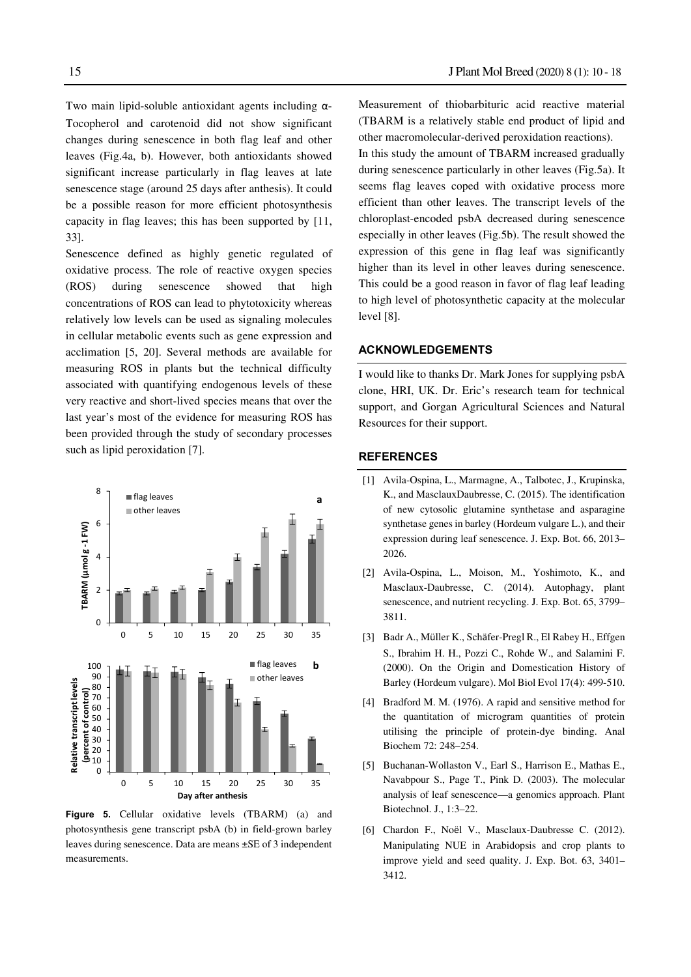Two main lipid-soluble antioxidant agents including α-Tocopherol and carotenoid did not show significant changes during senescence in both flag leaf and other leaves (Fig.4a, b). However, both antioxidants showed significant increase particularly in flag leaves at late senescence stage (around 25 days after anthesis). It could be a possible reason for more efficient photosynthesis capacity in flag leaves; this has been supported by [11, 33].

Senescence defined as highly genetic regulated of oxidative process. The role of reactive oxygen species (ROS) during senescence showed that high concentrations of ROS can lead to phytotoxicity whereas relatively low levels can be used as signaling molecules in cellular metabolic events such as gene expression and acclimation [5, 20]. Several methods are available for measuring ROS in plants but the technical difficulty associated with quantifying endogenous levels of these very reactive and short-lived species means that over the last year's most of the evidence for measuring ROS has been provided through the study of secondary processes such as lipid peroxidation [7].



**Figure 5.** Cellular oxidative levels (TBARM) (a) and photosynthesis gene transcript psbA (b) in field-grown barley leaves during senescence. Data are means ±SE of 3 independent measurements.

Measurement of thiobarbituric acid reactive material (TBARM is a relatively stable end product of lipid and other macromolecular-derived peroxidation reactions). In this study the amount of TBARM increased gradually during senescence particularly in other leaves (Fig.5a). It seems flag leaves coped with oxidative process more efficient than other leaves. The transcript levels of the chloroplast-encoded psbA decreased during senescence especially in other leaves (Fig.5b). The result showed the expression of this gene in flag leaf was significantly higher than its level in other leaves during senescence. This could be a good reason in favor of flag leaf leading to high level of photosynthetic capacity at the molecular level [8].

## **ACKNOWLEDGEMENTS**

I would like to thanks Dr. Mark Jones for supplying psbA clone, HRI, UK. Dr. Eric's research team for technical support, and Gorgan Agricultural Sciences and Natural Resources for their support.

## **REFERENCES**

- [1] Avila-Ospina, L., Marmagne, A., Talbotec, J., Krupinska, K., and MasclauxDaubresse, C. (2015). The identification of new cytosolic glutamine synthetase and asparagine synthetase genes in barley (Hordeum vulgare L.), and their expression during leaf senescence. J. Exp. Bot. 66, 2013– 2026.
- [2] Avila-Ospina, L., Moison, M., Yoshimoto, K., and Masclaux-Daubresse, C. (2014). Autophagy, plant senescence, and nutrient recycling. J. Exp. Bot. 65, 3799– 3811.
- [3] Badr A., Müller K., Schäfer-Pregl R., El Rabey H., Effgen S., Ibrahim H. H., Pozzi C., Rohde W., and Salamini F. (2000). On the Origin and Domestication History of Barley (Hordeum vulgare). Mol Biol Evol 17(4): 499-510.
- [4] Bradford M. M. (1976). A rapid and sensitive method for the quantitation of microgram quantities of protein utilising the principle of protein-dye binding. Anal Biochem 72: 248–254.
- [5] Buchanan-Wollaston V., Earl S., Harrison E., Mathas E., Navabpour S., Page T., Pink D. (2003). The molecular analysis of leaf senescence—a genomics approach. Plant Biotechnol. J., 1:3–22.
- [6] Chardon F., Noël V., Masclaux-Daubresse C. (2012). Manipulating NUE in Arabidopsis and crop plants to improve yield and seed quality. J. Exp. Bot. 63, 3401– 3412.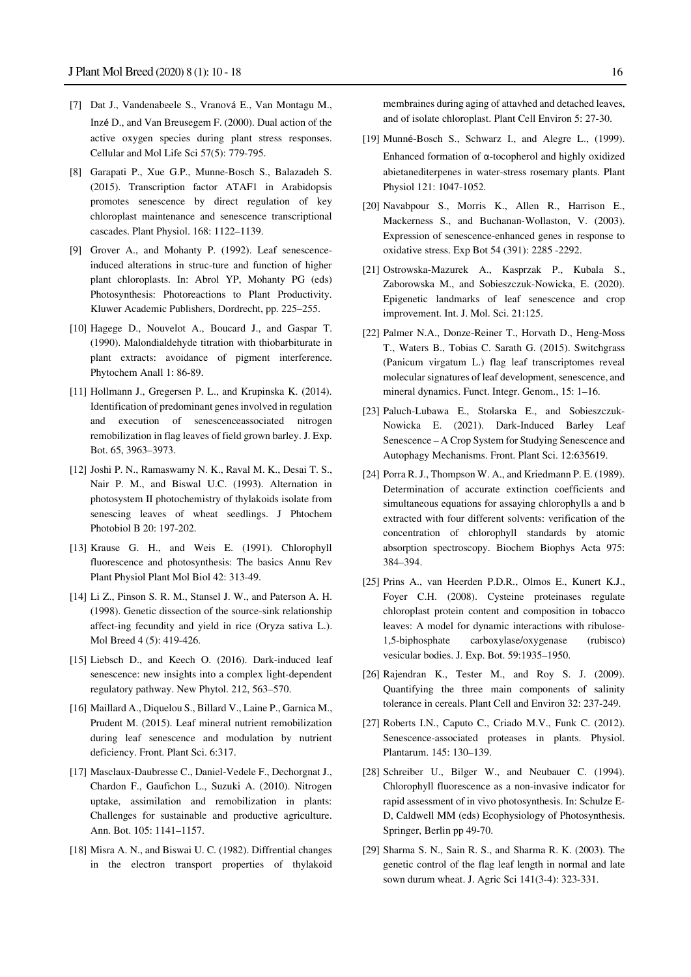- [7] Dat J., Vandenabeele S., Vranová E., Van Montagu M., Inzé D., and Van Breusegem F. (2000). Dual action of the active oxygen species during plant stress responses. Cellular and Mol Life Sci 57(5): 779-795.
- [8] Garapati P., Xue G.P., Munne-Bosch S., Balazadeh S. (2015). Transcription factor ATAF1 in Arabidopsis promotes senescence by direct regulation of key chloroplast maintenance and senescence transcriptional cascades. Plant Physiol. 168: 1122–1139.
- [9] Grover A., and Mohanty P. (1992). Leaf senescenceinduced alterations in struc-ture and function of higher plant chloroplasts. In: Abrol YP, Mohanty PG (eds) Photosynthesis: Photoreactions to Plant Productivity. Kluwer Academic Publishers, Dordrecht, pp. 225–255.
- [10] Hagege D., Nouvelot A., Boucard J., and Gaspar T. (1990). Malondialdehyde titration with thiobarbiturate in plant extracts: avoidance of pigment interference. Phytochem Anall 1: 86-89.
- [11] Hollmann J., Gregersen P. L., and Krupinska K. (2014). Identification of predominant genes involved in regulation and execution of senescenceassociated nitrogen remobilization in flag leaves of field grown barley. J. Exp. Bot. 65, 3963–3973.
- [12] Joshi P. N., Ramaswamy N. K., Raval M. K., Desai T. S., Nair P. M., and Biswal U.C. (1993). Alternation in photosystem II photochemistry of thylakoids isolate from senescing leaves of wheat seedlings. J Phtochem Photobiol B 20: 197-202.
- [13] Krause G. H., and Weis E. (1991). Chlorophyll fluorescence and photosynthesis: The basics Annu Rev Plant Physiol Plant Mol Biol 42: 313-49.
- [14] Li Z., Pinson S. R. M., Stansel J. W., and Paterson A. H. (1998). Genetic dissection of the source-sink relationship affect-ing fecundity and yield in rice (Oryza sativa L.). Mol Breed 4 (5): 419-426.
- [15] Liebsch D., and Keech O. (2016). Dark-induced leaf senescence: new insights into a complex light-dependent regulatory pathway. New Phytol. 212, 563–570.
- [16] Maillard A., Diquelou S., Billard V., Laine P., Garnica M., Prudent M. (2015). Leaf mineral nutrient remobilization during leaf senescence and modulation by nutrient deficiency. Front. Plant Sci. 6:317.
- [17] Masclaux-Daubresse C., Daniel-Vedele F., Dechorgnat J., Chardon F., Gaufichon L., Suzuki A. (2010). Nitrogen uptake, assimilation and remobilization in plants: Challenges for sustainable and productive agriculture. Ann. Bot. 105: 1141–1157.
- [18] Misra A. N., and Biswai U. C. (1982). Diffrential changes in the electron transport properties of thylakoid

membraines during aging of attavhed and detached leaves, and of isolate chloroplast. Plant Cell Environ 5: 27-30.

- [19] Munné-Bosch S., Schwarz I., and Alegre L., (1999). Enhanced formation of α-tocopherol and highly oxidized abietanediterpenes in water-stress rosemary plants. Plant Physiol 121: 1047-1052.
- [20] Navabpour S., Morris K., Allen R., Harrison E., Mackerness S., and Buchanan-Wollaston, V. (2003). Expression of senescence-enhanced genes in response to oxidative stress. Exp Bot 54 (391): 2285 -2292.
- [21] Ostrowska-Mazurek A., Kasprzak P., Kubala S., Zaborowska M., and Sobieszczuk-Nowicka, E. (2020). Epigenetic landmarks of leaf senescence and crop improvement. Int. J. Mol. Sci. 21:125.
- [22] Palmer N.A., Donze-Reiner T., Horvath D., Heng-Moss T., Waters B., Tobias C. Sarath G. (2015). Switchgrass (Panicum virgatum L.) flag leaf transcriptomes reveal molecular signatures of leaf development, senescence, and mineral dynamics. Funct. Integr. Genom., 15: 1–16.
- [23] Paluch-Lubawa E., Stolarska E., and Sobieszczuk-Nowicka E. (2021). Dark-Induced Barley Leaf Senescence – A Crop System for Studying Senescence and Autophagy Mechanisms. Front. Plant Sci. 12:635619.
- [24] Porra R. J., Thompson W. A., and Kriedmann P. E. (1989). Determination of accurate extinction coefficients and simultaneous equations for assaying chlorophylls a and b extracted with four different solvents: verification of the concentration of chlorophyll standards by atomic absorption spectroscopy. Biochem Biophys Acta 975: 384–394.
- [25] Prins A., van Heerden P.D.R., Olmos E., Kunert K.J., Foyer C.H. (2008). Cysteine proteinases regulate chloroplast protein content and composition in tobacco leaves: A model for dynamic interactions with ribulose-1,5-biphosphate carboxylase/oxygenase (rubisco) vesicular bodies. J. Exp. Bot. 59:1935–1950.
- [26] Rajendran K., Tester M., and Roy S. J. (2009). Quantifying the three main components of salinity tolerance in cereals. Plant Cell and Environ 32: 237-249.
- [27] Roberts I.N., Caputo C., Criado M.V., Funk C. (2012). Senescence-associated proteases in plants. Physiol. Plantarum. 145: 130–139.
- [28] Schreiber U., Bilger W., and Neubauer C. (1994). Chlorophyll fluorescence as a non-invasive indicator for rapid assessment of in vivo photosynthesis. In: Schulze E-D, Caldwell MM (eds) Ecophysiology of Photosynthesis. Springer, Berlin pp 49-70.
- [29] Sharma S. N., Sain R. S., and Sharma R. K. (2003). The genetic control of the flag leaf length in normal and late sown durum wheat. J. Agric Sci 141(3-4): 323-331.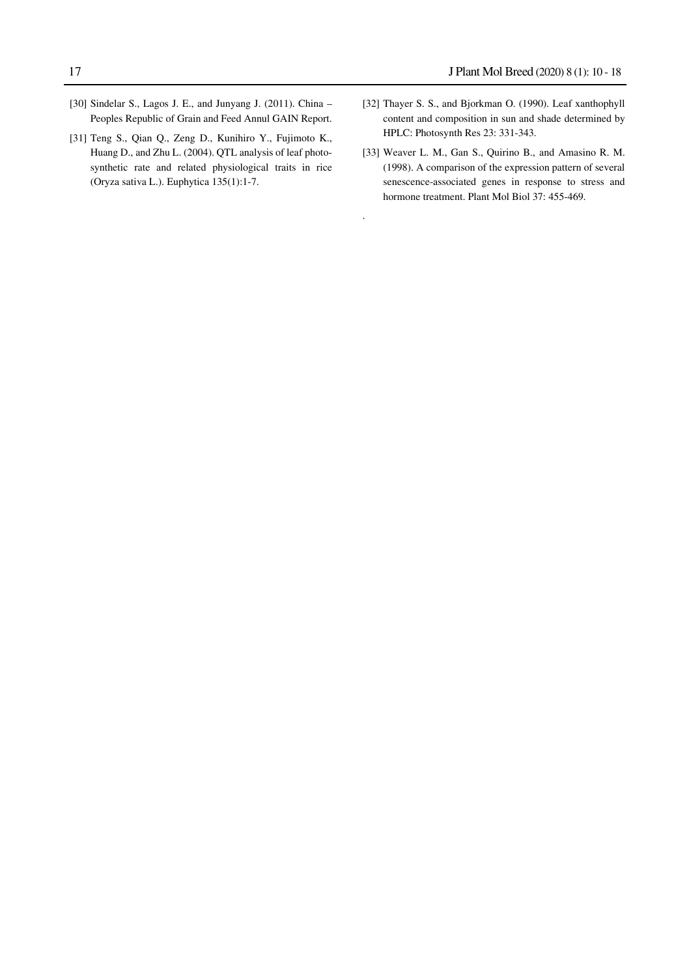- [30] Sindelar S., Lagos J. E., and Junyang J. (2011). China Peoples Republic of Grain and Feed Annul GAIN Report.
- [31] Teng S., Qian Q., Zeng D., Kunihiro Y., Fujimoto K., Huang D., and Zhu L. (2004). QTL analysis of leaf photosynthetic rate and related physiological traits in rice (Oryza sativa L.). Euphytica 135(1):1-7.
- [32] Thayer S. S., and Bjorkman O. (1990). Leaf xanthophyll content and composition in sun and shade determined by HPLC: Photosynth Res 23: 331-343.
- [33] Weaver L. M., Gan S., Quirino B., and Amasino R. M. (1998). A comparison of the expression pattern of several senescence-associated genes in response to stress and hormone treatment. Plant Mol Biol 37: 455-469.

.